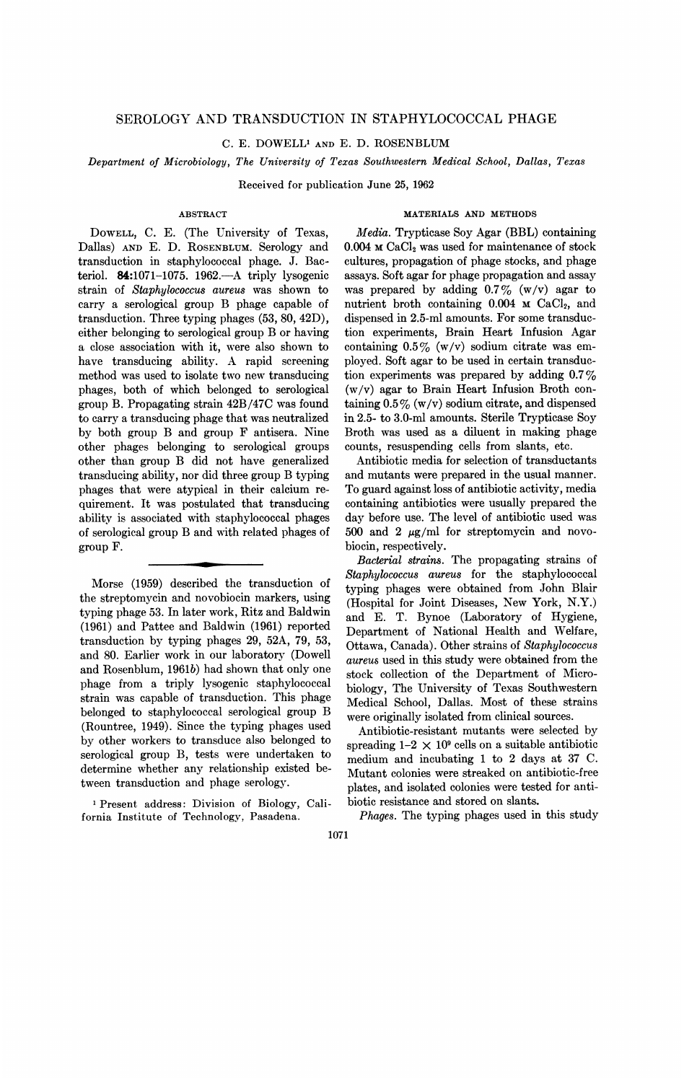# SEROLOGY AND TRANSDUCTION IN STAPHYLOCOCCAL PHAGE

C. E. DOWELL' AND E. D. ROSENBLUM

Department of Microbiology, The University of Texas Southwestern Medical School, Dallas, Texas

Received for publication June 25, 1962

# ABSTRACT

DOWELL, C. E. (The University of Texas, Dallas) AND E. D. ROSENBLUM. Serology and transduction in staphylococcal phage. J. Bacteriol.  $84:1071-1075$ . 1962.—A triply lysogenic strain of Staphylococcus aureus was shown to carry a serological group B phage capable of transduction. Three typing phages (53, 80, 42D), either belonging to serological group B or having a close association with it, were also shown to have transducing ability. A rapid screening method was used to isolate two new transducing phages, both of which belonged to serological group B. Propagating strain 42B/47C was found to carry a transducing phage that was neutralized by both group B and group F antisera. Nine other phages belonging to serological groups other than group B did not have generalized transducing ability, nor did three group B typing phages that were atypical in their calcium requirement. It was postulated that transducing ability is associated with staphylococcal phages of serological group B and with related phages of group F.

Morse (1959) described the transduction of the streptomycin and novobiocin markers, using typing phage 53. In later work, Ritz and Baldwin (1961) and Pattee and Baldwin (1961) reported transduction by typing phages 29, 52A, 79, 53, and 80. Earlier work in our laboratory (Dowell and Rosenblum, 1961b) had shown that only one phage from a triply lysogenic staphylococcal strain was capable of transduction. This phage belonged to staphylococcal serological group B (Rountree, 1949). Since the typing phages used by other workers to transduce also belonged to serological group B, tests were undertaken to determine whether any relationship existed between transduction and phage serology.

<sup>1</sup> Present address: Division of Biology, California Institute of Technology, Pasadena.

# MATERIALS AND METHODS

Media. Trypticase Soy Agar (BBL) containing  $0.004$  M CaCl<sub>2</sub> was used for maintenance of stock cultures, propagation of phage stocks, and phage assays. Soft agar for phage propagation and assay was prepared by adding  $0.7\%$  (w/v) agar to nutrient broth containing  $0.004$  M CaCl<sub>2</sub>, and dispensed in 2.5-ml amounts. For some transduction experiments, Brain Heart Infusion Agar containing  $0.5\%$  (w/v) sodium citrate was employed. Soft agar to be used in certain transduction experiments was prepared by adding 0.7% (w/v) agar to Brain Heart Infusion Broth containing  $0.5\%$  (w/v) sodium citrate, and dispensed in 2.5- to 3.0-ml amounts. Sterile Trypticase Soy Broth was used as a diluent in making phage counts, resuspending cells from slants, etc.

Antibiotic media for selection of transductants and mutants were prepared in the usual manner. To guard against loss of antibiotic activity, media containing antibiotics were usually prepared the day before use. The level of antibiotic used was 500 and 2  $\mu$ g/ml for streptomycin and novobiocin, respectively.

Bacterial strains. The propagating strains of Staphylococcus aureus for the staphylococcal typing phages were obtained from John Blair (Hospital for Joint Diseases, New York, N.Y.) and E. T. Bynoe (Laboratory of Hygiene, Department of National Health and Welfare, Ottawa, Canada). Other strains of Staphylococcus aureus used in this study were obtained from the stock collection of the Department of Microbiology, The University of Texas Southwestern Medical School, Dallas. Most of these strains were originally isolated from clinical sources.

Antibiotic-resistant mutants were selected by spreading  $1-2 \times 10^9$  cells on a suitable antibiotic medium and incubating <sup>1</sup> to 2 days at 37 C. Mutant colonies were streaked on antibiotic-free plates, and isolated colonies were tested for antibiotic resistance and stored on slants

Phages. The typing phages used in this study

1071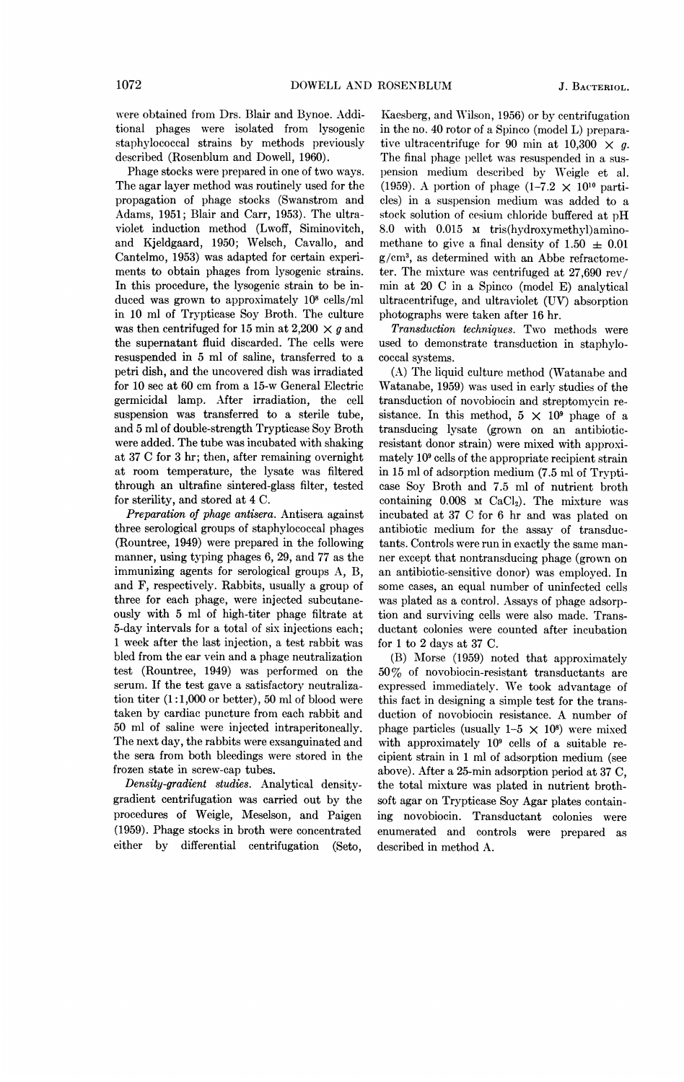were obtained from Drs. Blair and Bynoe. Additional phages were isolated from lysogenic staphylococcal strains by methods previously described (Rosenblum and Dowell, 1960).

Phage stocks were prepared in one of two ways. The agar layer method was routinely used for the propagation of phage stocks (Swanstrom and Adams, 1951; Blair and Carr, 1953). The ultraviolet induction method (Lwoff, Siminovitch, and Kjeldgaard, 1950; Welsch, Cavallo, and Cantelmo, 1953) was adapted for certain experiments to obtain phages from lysogenic strains. In this procedure, the lysogenic strain to be induced was grown to approximately 108 cells/ml in 10 ml of Trypticase Soy Broth. The culture was then centrifuged for 15 min at 2,200  $\times$  g and the supernatant fluid discarded. The cells were resuspended in 5 ml of saline, transferred to a petri dish, and the uncovered dish was irradiated for 10 see at 60 cm from a 15-w General Electric germicidal lamp. After irradiation, the cell suspension was transferred to a sterile tube, and 5 ml of double-strength Trypticase Soy Broth were added. The tube was incubated with shaking at 37 C for 3 hr; then, after remaining overnight at room temperature, the lysate was filtered through an ultrafine sintered-glass filter, tested for sterility, and stored at 4 C.

Preparation of phage antisera. Antisera against three serological groups of staphylococcal phages (Rountree, 1949) were prepared in the following manner, using typing phages 6, 29, and 77 as the immunizing agents for serological groups A, B, and F, respectively. Rabbits, usually a group of three for each phage, were injected subcutaneously with 5 ml of high-titer phage filtrate at 5-day intervals for a total of six injections each; <sup>1</sup> week after the last injection, a test rabbit was bled from the ear vein and a phage neutralization test (Rountree, 1949) was performed on the serum. If the test gave a satisfactory neutralization titer  $(1:1,000$  or better), 50 ml of blood were taken by cardiac puncture from each rabbit and 50 ml of saline were injected intraperitoneally. The next day, the rabbits were exsanguinated and the sera from both bleedings were stored in the frozen state in screw-cap tubes.

Density-gradient studies. Analytical densitvgradient centrifugation was carried out by the procedures of Weigle, Meselson, and Paigen (1959). Phage stocks in broth were concentrated either by differential centrifugation (Seto,

Kaesberg, and Wilson, 1956) or by centrifugation in the no. 40 rotor of a Spinco (model L) preparative ultracentrifuge for 90 min at 10,300  $\times$  g. The final phage pellet was resuspended in a suspension medium described by Weigle et al. (1959). A portion of phage (1-7.2  $\times$  10<sup>10</sup> particles) in a suspension medium was added to a stock solution of cesium chloride buffered at pH 8.0 with 0.015 M tris(hydroxymethyl)aminomethane to give a final density of 1.50  $\pm$  0.01 g/cm3, as determined with an Abbe refractometer. The mixture was centrifuged at 27,690 rev/ min at 20 C in a Spinco (model E) analytical ultracentrifuge, and ultraviolet (UV) absorption photographs were taken after 16 hr.

Transduction techniques. Two methods were used to demonstrate transduction in staphylococcal systems.

(A) The liquid culture method (Watanabe and Watanabe, 1959) was used in early studies of the transduction of novobiocin and streptomycin resistance. In this method,  $5 \times 10^9$  phage of a transducing lysate (grown on an antibioticresistant donor strain) were mixed with approximately 109 cells of the appropriate recipient strain in 15 ml of adsorption medium (7.5 ml of Trypticase Soy Broth and 7.5 ml of nutrient broth containing  $0.008$  M CaCl<sub>2</sub>). The mixture was incubated at 37 C for 6 hr and was plated on antibiotic medium for the assay of transductants. Controls were run in exactly the same manner except that nontransducing phage (grown on an antibiotic-sensitive donor) was employed. In some cases, an equal number of uninfected cells was plated as a control. Assays of phage adsorption and surviving cells were also made. Transductant colonies were counted after incubation for <sup>1</sup> to 2 days at 37 C.

(B) Morse (1959) noted that approximately 50% of novobiocin-resistant transductants are expressed immediately. We took advantage of this fact in designing a simple test for the transduction of novobiocin resistance. A number of phage particles (usually  $1-5 \times 10^8$ ) were mixed with approximately 109 cells of a suitable recipient strain in <sup>1</sup> ml of adsorption medium (see above). After a 25-min adsorption period at 37 C, the total mixture was plated in nutrient brothsoft agar on Trypticase Soy Agar plates containing novobiocin. Transductant colonies were enumerated and controls were prepared as described in method A.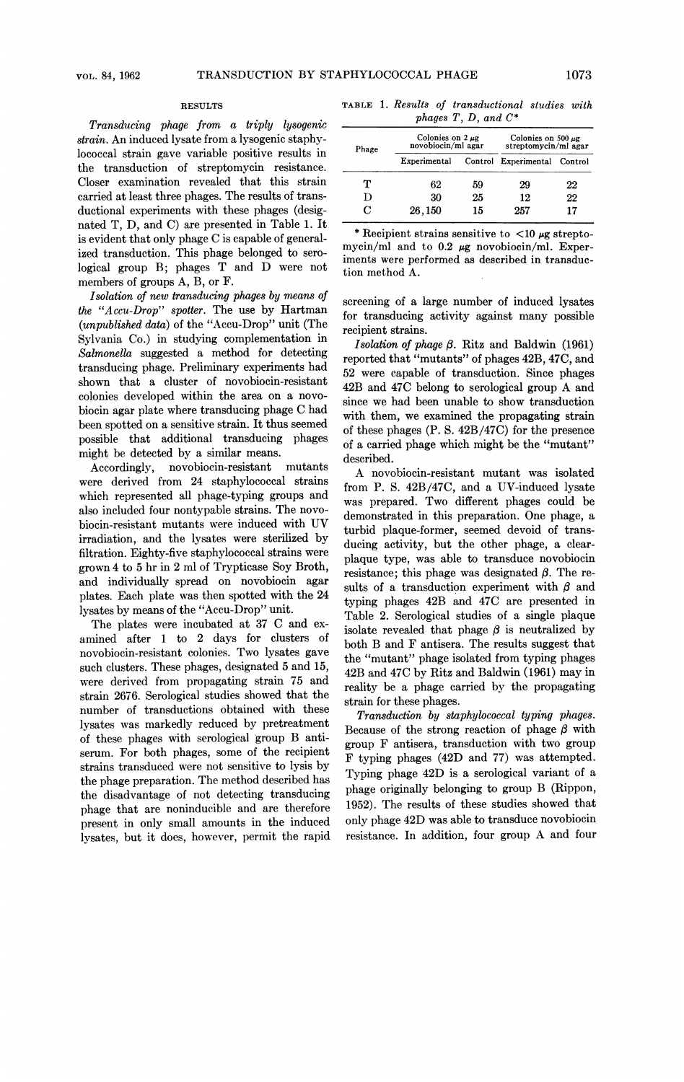#### RESULTS

Transducing phage from a triply lysogenic strain. An induced lysate from a lysogenic staphylococcal strain gave variable positive results in the transduction of streptomycin resistance. Closer examination revealed that this strain carried at least three phages. The results of transductional experiments with these phages (designated T, D, and C) are presented in Table 1. It is evident that only phage C is capable of generalized transduction. This phage belonged to serological group B; phages T and D were not members of groups A, B, or F.

Isolation of new transducing phages by means of the "Accu-Drop" spotter. The use by Hartman (unpublished data) of the "Accu-Drop" unit (The Sylvania Co.) in studying complementation in Salmonella suggested a method for detecting transducing phage. Preliminary experiments had shown that a cluster of novobiocin-resistant colonies developed within the area on a novobiocin agar plate where transducing phage C had been spotted on a sensitive strain. It thus seemed possible that additional transducing phages might be detected by a similar means.

Accordingly, novobiocin-resistant mutants were derived from 24 staphylococcal strains which represented all phage-typing groups and also included four nontypable strains. The novobiocin-resistant mutants were induced with UV irradiation, and the lysates were sterilized by filtration. Eighty-five staphylococcal strains were grown 4 to 5 hr in 2 ml of Trypticase Soy Broth, and individually spread on novobiocin agar plates. Each plate was then spotted with the 24 lysates by means of the "Accu-Drop" unit.

The plates were incubated at <sup>37</sup> C and examined after <sup>1</sup> to 2 days for clusters of novobiocin-resistant colonies. Two lysates gave such clusters. These phages, designated 5 and 15, were derived from propagating strain 75 and strain 2676. Serological studies showed that the number of transductions obtained with these lysates was markedly reduced by pretreatment of these phages with serological group B antiserum. For both phages, some of the recipient strains transduced were not sensitive to lysis by the phage preparation. The method described has the disadvantage of not detecting transducing phage that are noninducible and are therefore present in only small amounts in the induced lysates, but it does, however, permit the rapid

TABLE 1. Results of transductional studies with phages  $T, D, and C^*$ 

| Phage | Colonies on $2 \mu$ g<br>novobiocin/ml agar |    | Colonies on 500 $\mu$ g<br>streptomycin/ml agar |    |
|-------|---------------------------------------------|----|-------------------------------------------------|----|
|       | Experimental                                |    | Control Experimental Control                    |    |
| т     | 62                                          | 59 | 29                                              | 22 |
| D     | 30                                          | 25 | 12                                              | 22 |
| C     | 26,150                                      | 15 | 257                                             | 17 |

\* Recipient strains sensitive to  $\langle 10 \mu$ g streptomycin/ml and to 0.2  $\mu$ g novobiocin/ml. Experiments were performed as described in transduction method A.

screening of a large number of induced lysates for transducing activity against many possible recipient strains.

Isolation of phage  $\beta$ . Ritz and Baldwin (1961) reported that "mutants" of phages 42B, 47C, and 52 were capable of transduction. Since phages 42B and 47C belong to serological group A and since we had been unable to show transduction with them, we examined the propagating strain of these phages (P. S. 42B/47C) for the presence of a carried phage which might be the "mutant" described.

A novobiocin-resistant mutant was isolated from P. S. 42B/47C, and a UV-induced lysate was prepared. Two different phages could be demonstrated in this preparation. One phage, a turbid plaque-former, seemed devoid of transducing activity, but the other phage, a clearplaque type, was able to transduce novobiocin resistance; this phage was designated  $\beta$ . The results of a transduction experiment with  $\beta$  and typing phages 42B and 47C are- presented in Table 2. Serological studies of a single plaque isolate revealed that phage  $\beta$  is neutralized by both B and F antisera. The results suggest that the "mutant" phage isolated from typing phages 42B and 47C by Ritz and Baldwin (1961) may in reality be a phage carried by the propagating strain for these phages.

Transduction by staphylococcal typing phages. Because of the strong reaction of phage  $\beta$  with group F antisera, transduction with two group F typing phages (42D and 77) was attempted. Typing phage 42D is a serological variant of a phage originally belonging to group B (Rippon, 1952). The results of these studies showed that only phage 42D was able to transduce novobiocin resistance. In addition, four group A and four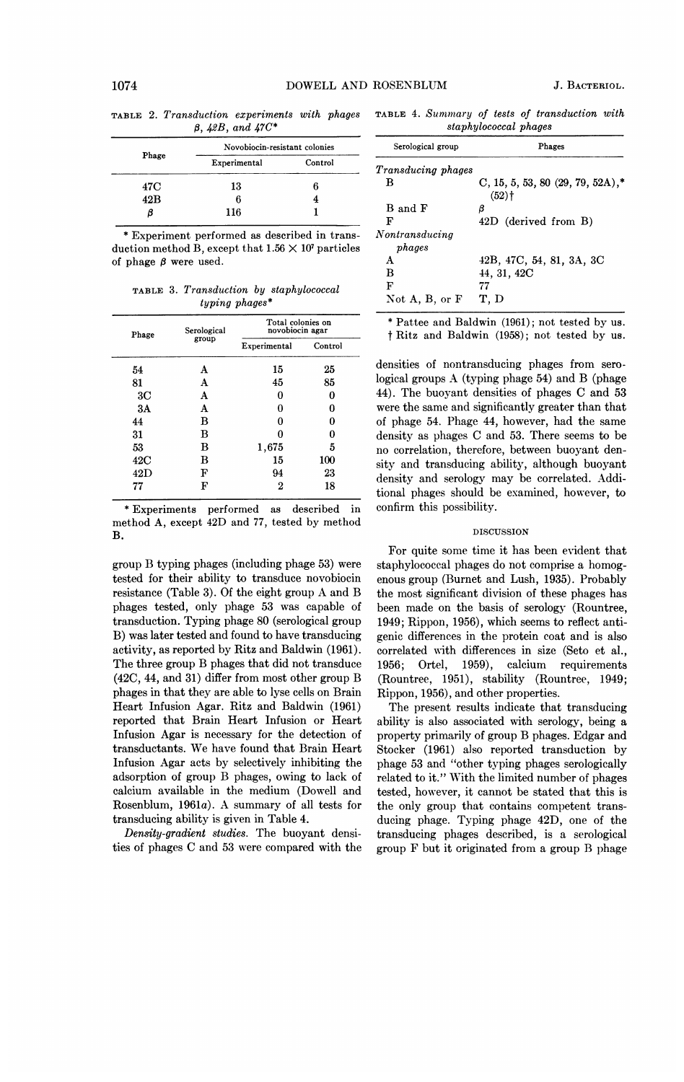|                         |  | <b>TABLE 2. Transduction experiments with phages</b> |  |  |  |
|-------------------------|--|------------------------------------------------------|--|--|--|
| $\beta$ , 42B, and 47C* |  |                                                      |  |  |  |

| Phage | Novobiocin-resistant colonies |         |  |
|-------|-------------------------------|---------|--|
|       | Experimental                  | Control |  |
| 47C   | 13                            | 6       |  |
| 42B   | 6                             |         |  |
|       | 116                           |         |  |

\* Experiment performed as described in transduction method B, except that  $1.56 \times 10^7$  particles of phage  $\beta$  were used.

TABLE 3. Transduction by staphylococcal typing phages\*

| Phage          | Serological<br>group | Total colonies on<br>novobiocin agar |         |
|----------------|----------------------|--------------------------------------|---------|
|                |                      | Experimental                         | Control |
| 54             | Α                    | 15                                   | 25      |
| 81             | А                    | 45                                   | 85      |
| 3 <sub>C</sub> | Α                    | 0                                    |         |
| 3A             | A                    | 0                                    | 0       |
| 44             | в                    | O                                    | O       |
| 31             | в                    | O                                    |         |
| 53             | в                    | 1,675                                | 5       |
| 42C            | в                    | 15                                   | 100     |
| 42D            | F                    | 94                                   | 23      |
| 77             | F                    | 2                                    | 18      |

\* Experiments performed as described in method A, except 42D and 77, tested by method B.

group B typing phages (including phage 53) were tested for their ability to transduce novobiocin resistance (Table 3). Of the eight group A and B phages tested, only phage 53 was capable of transduction. Typing phage 80 (serological group B) was later tested and found to have transducing activity, as reported by Ritz and Baldwin (1961). The three group B phages that did not transduce (42C, 44, and 31) differ from most other group B phages in that they are able to lyse cells on Brain Heart Infusion Agar. Ritz and Baldwin (1961) reported that Brain Heart Infusion or Heart Infusion Agar is necessary for the detection of transductants. We have found that Brain Heart Infusion Agar acts by selectively inhibiting the adsorption of group B phages, owing to lack of calcium available in the medium (Dowell and Rosenblum, 1961a). A summary of all tests for transducing ability is given in Table 4.

Density-gradient studies. The buoyant densities of phages C and 53 were compared with the

TABLE 4. Sunmmary of tests of transduction with staphylococcal phages

| Serological group         | Phages                                                    |  |
|---------------------------|-----------------------------------------------------------|--|
| <i>Transducing phages</i> |                                                           |  |
| B                         | $C, 15, 5, 53, 80$ (29, 79, 52A),*<br>$(52)$ <sup>+</sup> |  |
| B and F                   | β                                                         |  |
| F                         | 42D (derived from B)                                      |  |
| Nontransducing            |                                                           |  |
| phages                    |                                                           |  |
| А                         | 42B, 47C, 54, 81, 3A, 3C                                  |  |
| в                         | 44, 31, 42C                                               |  |
| F                         | 77                                                        |  |
| Not $A, B, or F$          | T, D                                                      |  |

\* Pattee and Baldwin (1961); not tested by us. <sup>t</sup> Ritz and Baldwin (1958); not tested by us.

densities of nontransducing phages from serological groups A (typing phage 54) and B (phage 44). The buoyant densities of phages C and 53 were the same and significantly greater than that of phage 54. Phage 44, however, had the same density as phages C and 53. There seems to be no correlation, therefore, between buoyant density and transducing ability, although buoyant density and serology may be correlated. Additional phages should be examined, however, to confirm this possibility.

### DISCUSSION

For quite some time it has been evident that staphylococcal phages do not comprise a homogenous group (Burnet and Lush, 1935). Probably the most significant division of these phages has been made on the basis of serology (Rountree, 1949; Rippon, 1956), which seems to reflect antigenic differences in the protein coat and is also correlated with differences in size (Seto et al., 1956; Ortel, 1959), calcium requirements (Rountree, 1951), stability (Rountree, 1949; Rippon, 1956), and other properties.

The present results indicate that transducing ability is also associated with serology, being a property primarily of group B phages. Edgar and Stocker (1961) also reported transduction by phage 53 and "other typing phages serologically related to it." With the limited number of phages tested, however, it cannot be stated that this is the only group that contains competent transducing phage. Typing phage 42D, one of the transducing phages described, is a serological group F but it originated from a group B phage